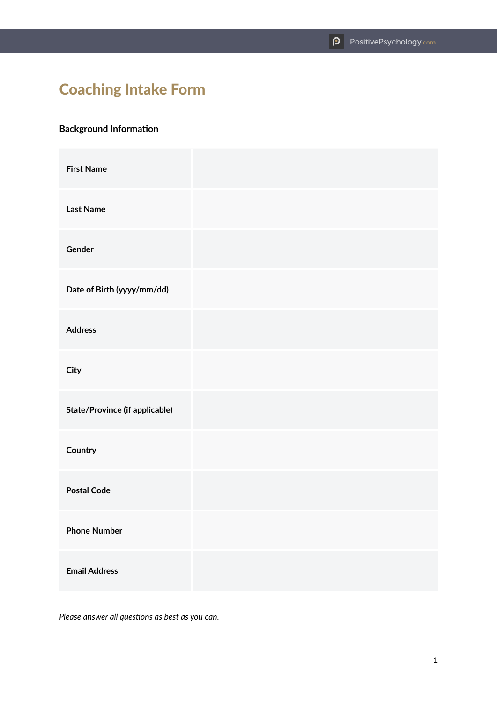# Coaching Intake Form

## **Background Information**

| <b>First Name</b>              |  |
|--------------------------------|--|
| <b>Last Name</b>               |  |
| Gender                         |  |
| Date of Birth (yyyy/mm/dd)     |  |
| <b>Address</b>                 |  |
| City                           |  |
| State/Province (if applicable) |  |
| Country                        |  |
| <b>Postal Code</b>             |  |
| <b>Phone Number</b>            |  |
| <b>Email Address</b>           |  |

*Please answer all questions as best as you can.*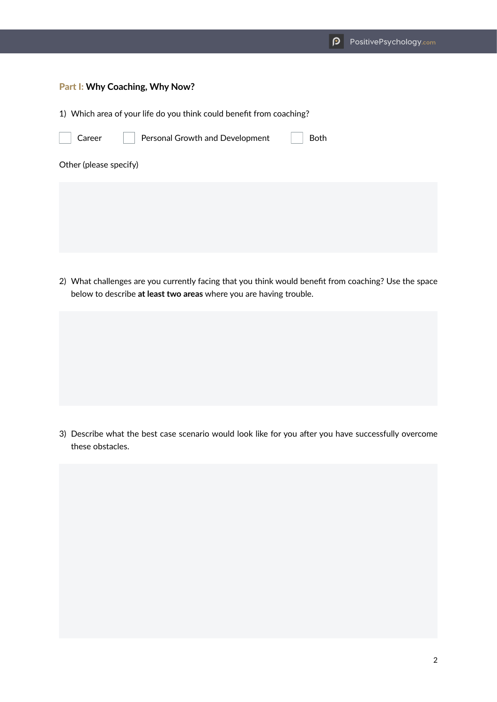#### Part I: **Why Coaching, Why Now?**

1) Which area of your life do you think could benefit from coaching?

| Career                 | Personal Growth and Development | Both |  |
|------------------------|---------------------------------|------|--|
| Other (please specify) |                                 |      |  |
|                        |                                 |      |  |
|                        |                                 |      |  |
|                        |                                 |      |  |

2) What challenges are you currently facing that you think would benefit from coaching? Use the space below to describe **at least two areas** where you are having trouble.

3) Describe what the best case scenario would look like for you after you have successfully overcome these obstacles.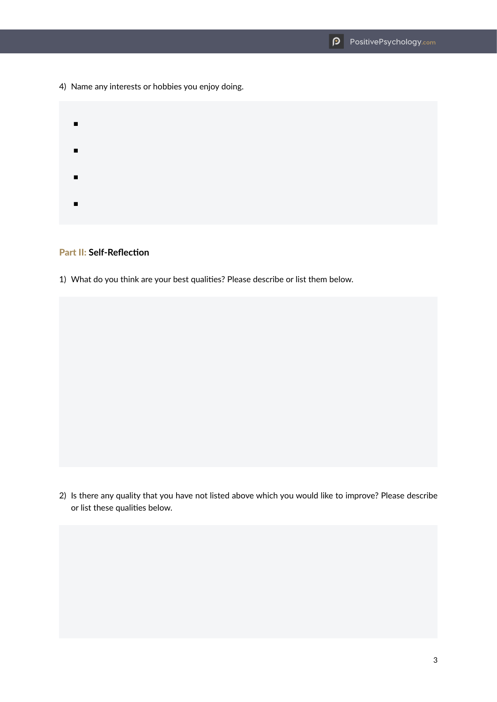4) Name any interests or hobbies you enjoy doing.

■ ■ ■ ■

#### Part II: **Self-Reflection**

1) What do you think are your best qualities? Please describe or list them below.

2) Is there any quality that you have not listed above which you would like to improve? Please describe or list these qualities below.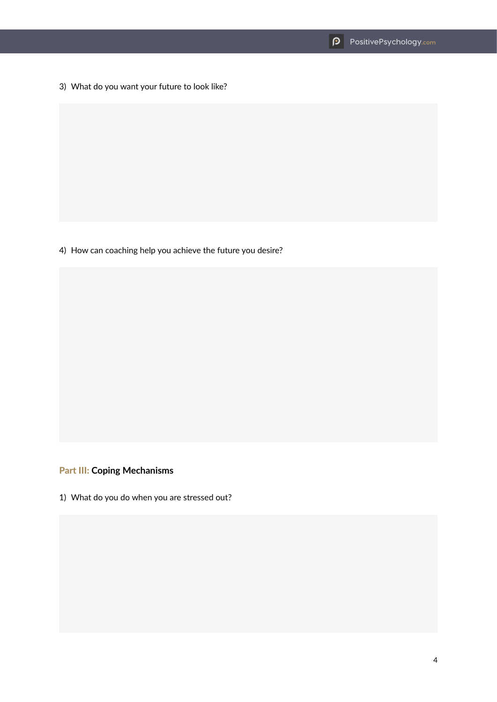3) What do you want your future to look like?

4) How can coaching help you achieve the future you desire?

### Part III: **Coping Mechanisms**

1) What do you do when you are stressed out?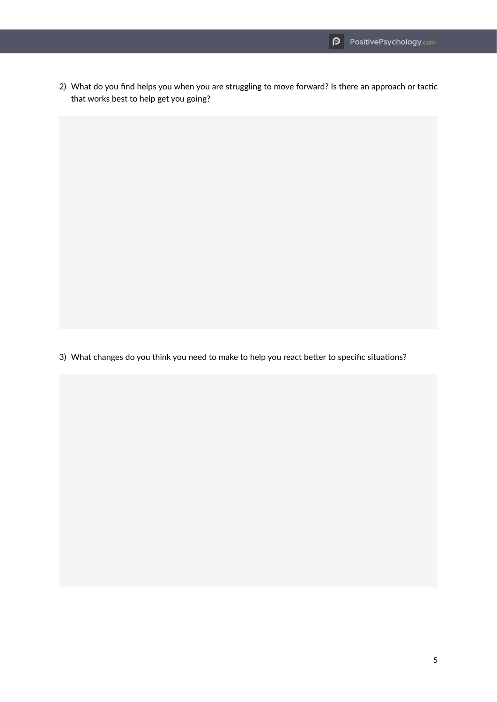2) What do you find helps you when you are struggling to move forward? Is there an approach or tactic that works best to help get you going?

3) What changes do you think you need to make to help you react better to specific situations?